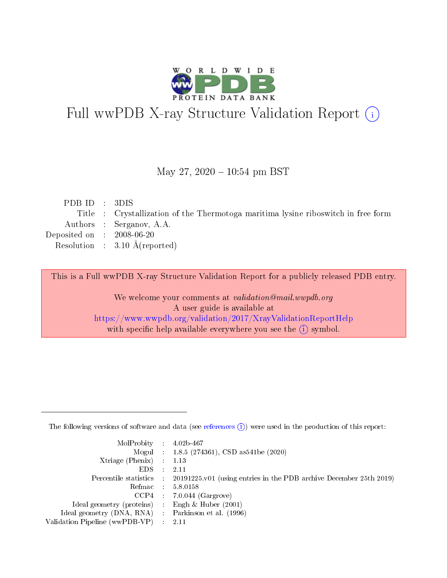

# Full wwPDB X-ray Structure Validation Report (i)

#### May 27,  $2020 - 10:54$  pm BST

| PDB ID : 3DIS               |                                                                                   |
|-----------------------------|-----------------------------------------------------------------------------------|
|                             | Title : Crystallization of the Thermotoga maritima lysine riboswitch in free form |
|                             | Authors : Serganov, A.A.                                                          |
| Deposited on : $2008-06-20$ |                                                                                   |
|                             | Resolution : $3.10 \text{ Å}$ (reported)                                          |
|                             |                                                                                   |

This is a Full wwPDB X-ray Structure Validation Report for a publicly released PDB entry.

We welcome your comments at validation@mail.wwpdb.org A user guide is available at <https://www.wwpdb.org/validation/2017/XrayValidationReportHelp> with specific help available everywhere you see the  $(i)$  symbol.

The following versions of software and data (see [references](https://www.wwpdb.org/validation/2017/XrayValidationReportHelp#references)  $(1)$ ) were used in the production of this report:

| $MolProbability$ : 4.02b-467                        |                                                                                            |
|-----------------------------------------------------|--------------------------------------------------------------------------------------------|
|                                                     | Mogul : $1.8.5$ (274361), CSD as 541be (2020)                                              |
| Xtriage (Phenix) $: 1.13$                           |                                                                                            |
| $EDS$ :                                             | -2.11                                                                                      |
|                                                     | Percentile statistics : 20191225.v01 (using entries in the PDB archive December 25th 2019) |
| Refmac : 5.8.0158                                   |                                                                                            |
| CCP4                                                | $7.0.044$ (Gargrove)                                                                       |
| Ideal geometry (proteins) :                         | Engh $\&$ Huber (2001)                                                                     |
| Ideal geometry (DNA, RNA) : Parkinson et al. (1996) |                                                                                            |
| Validation Pipeline (wwPDB-VP) : 2.11               |                                                                                            |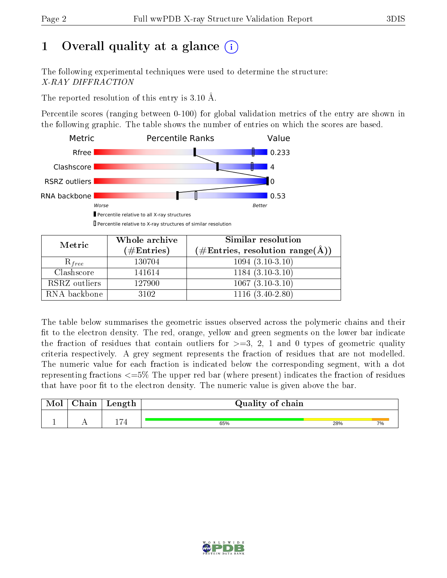# 1 [O](https://www.wwpdb.org/validation/2017/XrayValidationReportHelp#overall_quality)verall quality at a glance  $(i)$

The following experimental techniques were used to determine the structure: X-RAY DIFFRACTION

The reported resolution of this entry is 3.10 Å.

Percentile scores (ranging between 0-100) for global validation metrics of the entry are shown in the following graphic. The table shows the number of entries on which the scores are based.



Percentile relative to X-ray structures of similar resolution

| Metric        | Whole archive | Similar resolution                 |  |  |  |  |
|---------------|---------------|------------------------------------|--|--|--|--|
|               | $(\#Entries)$ | $(\#Entries, resolution range(A))$ |  |  |  |  |
| $R_{free}$    | 130704        | $1094(3.10-3.10)$                  |  |  |  |  |
| Clashscore    | 141614        | $1184(3.10-3.10)$                  |  |  |  |  |
| RSRZ outliers | 127900        | $1067(3.10-3.10)$                  |  |  |  |  |
| RNA backbone  | 3102          | $1116(3.40-2.80)$                  |  |  |  |  |

The table below summarises the geometric issues observed across the polymeric chains and their fit to the electron density. The red, orange, yellow and green segments on the lower bar indicate the fraction of residues that contain outliers for  $\geq=3$ , 2, 1 and 0 types of geometric quality criteria respectively. A grey segment represents the fraction of residues that are not modelled. The numeric value for each fraction is indicated below the corresponding segment, with a dot representing fractions  $\epsilon = 5\%$  The upper red bar (where present) indicates the fraction of residues that have poor fit to the electron density. The numeric value is given above the bar.

| Mol | .<br>паш | Length  | Quality of chain |     |    |  |  |  |  |
|-----|----------|---------|------------------|-----|----|--|--|--|--|
|     | . .      | 1 1 7 A | 65%              | 28% | 7% |  |  |  |  |

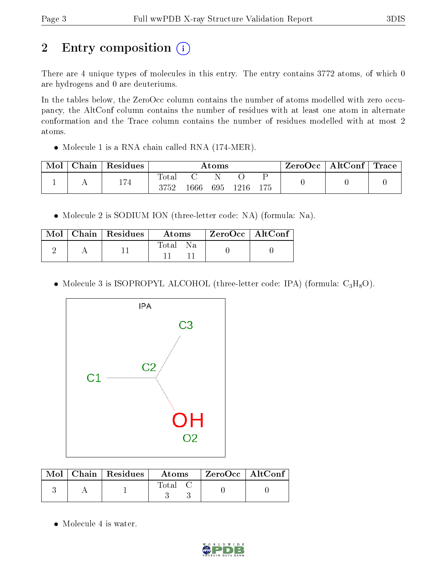# 2 Entry composition (i)

There are 4 unique types of molecules in this entry. The entry contains 3772 atoms, of which 0 are hydrogens and 0 are deuteriums.

In the tables below, the ZeroOcc column contains the number of atoms modelled with zero occupancy, the AltConf column contains the number of residues with at least one atom in alternate conformation and the Trace column contains the number of residues modelled with at most 2 atoms.

• Molecule 1 is a RNA chain called RNA (174-MER).

| Mol | Chain   Residues | $\rm{Atoms}$  |      |  |          |     | ZeroOcc | $\mid$ AltConf $\mid$ Trace $\mid$ |  |
|-----|------------------|---------------|------|--|----------|-----|---------|------------------------------------|--|
|     | 174              | Total<br>3752 | 1666 |  | 695 1216 | 175 |         |                                    |  |

• Molecule 2 is SODIUM ION (three-letter code: NA) (formula: Na).

|  | $Mol$   Chain   Residues | Atoms    | $\mid$ ZeroOcc $\mid$ AltConf $\mid$ |  |
|--|--------------------------|----------|--------------------------------------|--|
|  |                          | Total Na |                                      |  |

• Molecule 3 is ISOPROPYL ALCOHOL (three-letter code: IPA) (formula:  $C_3H_8O$ ).



|  | $Mol$   Chain   Residues | Atoms | $^+$ ZeroOcc $\, \mid$ AltConf $\,$ |  |
|--|--------------------------|-------|-------------------------------------|--|
|  |                          | Total |                                     |  |

• Molecule 4 is water.

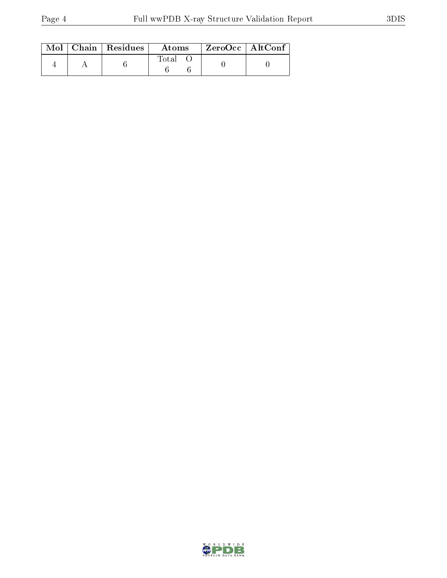|  | $\text{Mol}$   Chain   Residues | Atoms | ZeroOcc   AltConf |
|--|---------------------------------|-------|-------------------|
|  |                                 | Total |                   |

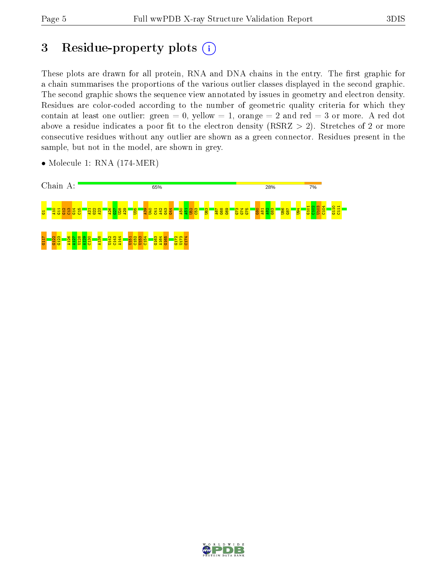## 3 Residue-property plots  $(i)$

These plots are drawn for all protein, RNA and DNA chains in the entry. The first graphic for a chain summarises the proportions of the various outlier classes displayed in the second graphic. The second graphic shows the sequence view annotated by issues in geometry and electron density. Residues are color-coded according to the number of geometric quality criteria for which they contain at least one outlier: green  $= 0$ , yellow  $= 1$ , orange  $= 2$  and red  $= 3$  or more. A red dot above a residue indicates a poor fit to the electron density (RSRZ  $> 2$ ). Stretches of 2 or more consecutive residues without any outlier are shown as a green connector. Residues present in the sample, but not in the model, are shown in grey.



• Molecule 1: RNA (174-MER)

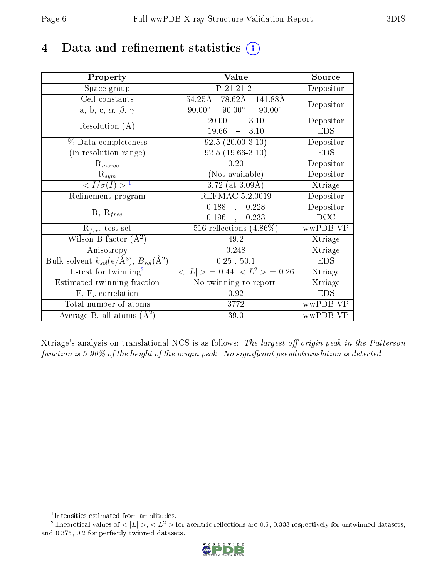## 4 Data and refinement statistics  $(i)$

| Property                                                                | Value                                            | Source     |
|-------------------------------------------------------------------------|--------------------------------------------------|------------|
| Space group                                                             | P 21 21 21                                       | Depositor  |
| Cell constants                                                          | 78.62Å 141.88Å<br>$54.25\text{\AA}$              | Depositor  |
| a, b, c, $\alpha$ , $\beta$ , $\gamma$                                  | $90.00^{\circ}$ $90.00^{\circ}$<br>$90.00^\circ$ |            |
| Resolution $(A)$                                                        | $-3.10$<br>$20.00^{-7}$                          | Depositor  |
|                                                                         | $19.66 - 3.10$                                   | <b>EDS</b> |
| % Data completeness                                                     | $92.5(20.00-3.10)$                               | Depositor  |
| (in resolution range)                                                   | $92.5(19.66-3.10)$                               | <b>EDS</b> |
| $R_{merge}$                                                             | 0.20                                             | Depositor  |
| $\mathrm{R}_{sym}$                                                      | (Not available)                                  | Depositor  |
| $\langle I/\sigma(I) \rangle^{-1}$                                      | $3.72$ (at $3.09\text{\AA}$ )                    | Xtriage    |
| Refinement program                                                      | REFMAC 5.2.0019                                  | Depositor  |
| $R, R_{free}$                                                           | 0.188,<br>0.228                                  | Depositor  |
|                                                                         | $0.196$ ,<br>0.233                               | DCC        |
| $\mathcal{R}_{free}$ test set                                           | 516 reflections $(4.86\%)$                       | wwPDB-VP   |
| Wilson B-factor $(A^2)$                                                 | 49.2                                             | Xtriage    |
| Anisotropy                                                              | 0.248                                            | Xtriage    |
| Bulk solvent $k_{sol}(\mathrm{e}/\mathrm{A}^3),\,B_{sol}(\mathrm{A}^2)$ | 0.25, 50.1                                       | <b>EDS</b> |
| L-test for twinning <sup>2</sup>                                        | $< L >$ = 0.44, $< L^2 >$ = 0.26                 | Xtriage    |
| Estimated twinning fraction                                             | No twinning to report.                           | Xtriage    |
| $F_o, F_c$ correlation                                                  | 0.92                                             | <b>EDS</b> |
| Total number of atoms                                                   | 3772                                             | wwPDB-VP   |
| Average B, all atoms $(A^2)$                                            | 39.0                                             | wwPDB-VP   |

Xtriage's analysis on translational NCS is as follows: The largest off-origin peak in the Patterson function is  $5.90\%$  of the height of the origin peak. No significant pseudotranslation is detected.

<sup>&</sup>lt;sup>2</sup>Theoretical values of  $\langle |L| \rangle$ ,  $\langle L^2 \rangle$  for acentric reflections are 0.5, 0.333 respectively for untwinned datasets, and 0.375, 0.2 for perfectly twinned datasets.



<span id="page-5-1"></span><span id="page-5-0"></span><sup>1</sup> Intensities estimated from amplitudes.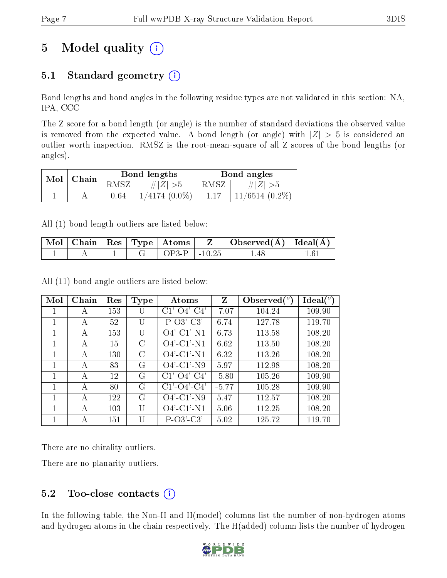# 5 Model quality  $(i)$

## 5.1 Standard geometry  $(i)$

Bond lengths and bond angles in the following residue types are not validated in this section: NA, IPA, CCC

The Z score for a bond length (or angle) is the number of standard deviations the observed value is removed from the expected value. A bond length (or angle) with  $|Z| > 5$  is considered an outlier worth inspection. RMSZ is the root-mean-square of all Z scores of the bond lengths (or angles).

| Mol |       |      | Bond lengths    | Bond angles |                     |  |
|-----|-------|------|-----------------|-------------|---------------------|--|
|     | Chain | RMSZ | $\# Z $         | RMSZ        | $\# Z $             |  |
|     |       | 0.64 | $1/4174(0.0\%)$ |             | $11/6514$ $(0.2\%)$ |  |

All (1) bond length outliers are listed below:

|  |  | $\mid$ Mol $\mid$ Chain $\mid$ Res $\mid$ Type $\mid$ Atoms $\mid$ | $\mathbf{z}$ | Observed( $\AA$ )   Ideal( $\AA$ ) |  |
|--|--|--------------------------------------------------------------------|--------------|------------------------------------|--|
|  |  | $OP3-P$                                                            | $1 - 10.25$  | -48                                |  |

All (11) bond angle outliers are listed below:

| Mol | Chain | Res | <b>Type</b> | Atoms                 | Z       | Observed $\binom{o}{c}$ | $\text{Ideal}(\textsuperscript{o})$ |
|-----|-------|-----|-------------|-----------------------|---------|-------------------------|-------------------------------------|
|     | А     | 153 | U           | $C1'$ - $O4'$ - $C4'$ | $-7.07$ | 104.24                  | 109.90                              |
|     | A     | 52  | U           | $P-O3'-C3'$           | 6.74    | 127.78                  | 119.70                              |
|     | А     | 153 | U           | $O4'$ -C1'-N1         | 6.73    | 113.58                  | 108.20                              |
|     | А     | 15  | C           | $O4'$ -C1'-N1         | 6.62    | 113.50                  | 108.20                              |
|     | A     | 130 | C           | $O4'$ -C1'-N1         | 6.32    | 113.26                  | 108.20                              |
|     | A     | 83  | G           | $O4'$ -C1'-N9         | 5.97    | 112.98                  | 108.20                              |
|     | А     | 12  | G           | $C1'$ - $O4'$ - $C4'$ | $-5.80$ | 105.26                  | 109.90                              |
|     | А     | 80  | G           | $C1'$ - $O4'$ - $C4'$ | $-5.77$ | 105.28                  | 109.90                              |
|     | А     | 122 | G           | $O4'$ -C1'-N9         | 5.47    | 112.57                  | 108.20                              |
|     | А     | 103 | U           | $O4'$ -C1'-N1         | 5.06    | 112.25                  | 108.20                              |
|     | А     | 151 |             | $P-O3'-C3'$           | 5.02    | 125.72                  | 119.70                              |

There are no chirality outliers.

There are no planarity outliers.

### $5.2$  Too-close contacts  $(i)$

In the following table, the Non-H and H(model) columns list the number of non-hydrogen atoms and hydrogen atoms in the chain respectively. The H(added) column lists the number of hydrogen

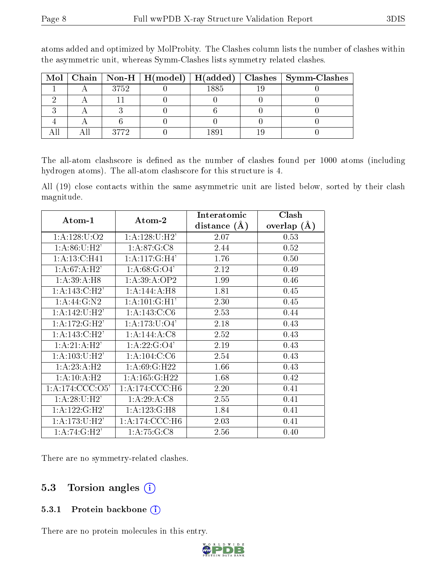|  |      |      | Mol   Chain   Non-H   H(model)   H(added)   Clashes   Symm-Clashes |
|--|------|------|--------------------------------------------------------------------|
|  | 3752 | 1885 |                                                                    |
|  |      |      |                                                                    |
|  |      |      |                                                                    |
|  |      |      |                                                                    |
|  | 3779 |      |                                                                    |

atoms added and optimized by MolProbity. The Clashes column lists the number of clashes within the asymmetric unit, whereas Symm-Clashes lists symmetry related clashes.

The all-atom clashscore is defined as the number of clashes found per 1000 atoms (including hydrogen atoms). The all-atom clashscore for this structure is 4.

All (19) close contacts within the same asymmetric unit are listed below, sorted by their clash magnitude.

|                            |                               | Interatomic      | Clash          |
|----------------------------|-------------------------------|------------------|----------------|
| Atom-1                     | Atom-2                        | distance $(\AA)$ | (A)<br>overlap |
| 1: A: 128: U: O2           | 1: A: 128: U:H2'              | 2.07             | 0.53           |
| 1: A:86:U:H2'              | 1: A:87: G:CS                 | 2.44             | 0.52           |
| 1:A:13:C:H41               | 1:A:117:G:H4'                 | 1.76             | 0.50           |
| 1: A:67:A:H2'              | 1: A:68: G:O4'                | 2.12             | 0.49           |
| 1: A:39:A:H8               | 1: A:39:A:OP2                 | 1.99             | 0.46           |
| 1:A:143:C:H2'              | 1:A:144:A:H8                  | 1.81             | 0.45           |
| 1: A:44: G: N2             | 1:A:101:G:H1'                 | 2.30             | 0.45           |
| 1: A: 142: U:H2'           | 1: A: 143: C: C6              | 2.53             | 0.44           |
| 1:A:172:G:H2'              | 1: A: 173: U: O4'             | 2.18             | 0.43           |
| $1:A:143:C:\overline{H2'}$ | 1: A: 144: A: C8              | 2.52             | 0.43           |
| 1:A:21:A:H2'               | 1: A: 22: G: O4'              | 2.19             | 0.43           |
| 1: A: 103: U:H2'           | 1: A: 104: C: C6              | 2.54             | 0.43           |
| 1:A:23:A:H2                | 1:A:69:G:H22                  | 1.66             | 0.43           |
| 1:A:10:A:H2                | 1:A:165:G:H22                 | 1.68             | 0.42           |
| 1:A:174:CCC:O5'            | $1: A:174:CCC: \overline{H6}$ | 2.20             | 0.41           |
| 1: A:28:U:H2'              | 1:A:29:A:C8                   | 2.55             | 0.41           |
| 1:A:122:GH2'               | $1:A:123:G:\overline{H8}$     | 1.84             | 0.41           |
| 1: A: 173: U:H2'           | $1: A:174:CCC: \overline{H6}$ | 2.03             | 0.41           |
| 1: A:74: G:H2'             | 1: A: 75: G: C8               | 2.56             | 0.40           |

There are no symmetry-related clashes.

### 5.3 Torsion angles (i)

#### 5.3.1 Protein backbone (i)

There are no protein molecules in this entry.

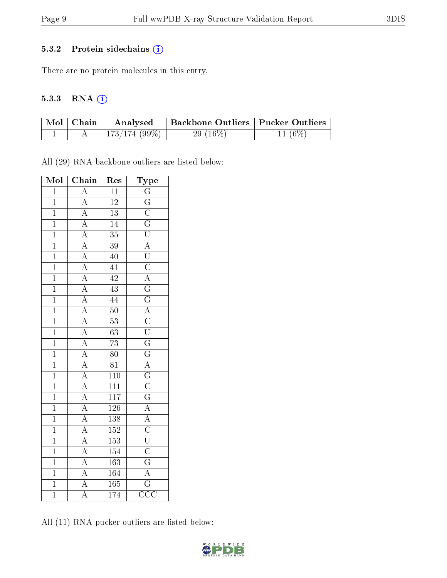#### 5.3.2 Protein sidechains (i)

There are no protein molecules in this entry.

#### 5.3.3 RNA (1)

| Mol   Chain | Analysed        | Backbone Outliers   Pucker Outliers |           |
|-------------|-----------------|-------------------------------------|-----------|
|             | $173/174(99\%)$ | 29 $(16\%)$                         | 11 $(6%)$ |

All (29) RNA backbone outliers are listed below:

| Mol            | Chain                                                                                                                                                                                                                                                                                                                                                                                                                                                                                                             | Res                                    | Type |
|----------------|-------------------------------------------------------------------------------------------------------------------------------------------------------------------------------------------------------------------------------------------------------------------------------------------------------------------------------------------------------------------------------------------------------------------------------------------------------------------------------------------------------------------|----------------------------------------|------|
| $\overline{1}$ |                                                                                                                                                                                                                                                                                                                                                                                                                                                                                                                   | $\overline{11}$                        |      |
| $\mathbf{1}$   |                                                                                                                                                                                                                                                                                                                                                                                                                                                                                                                   | $\overline{12}$                        |      |
| $\overline{1}$ |                                                                                                                                                                                                                                                                                                                                                                                                                                                                                                                   | $\overline{13}$                        |      |
| $\overline{1}$ |                                                                                                                                                                                                                                                                                                                                                                                                                                                                                                                   | $\overline{14}$                        |      |
| $\overline{1}$ |                                                                                                                                                                                                                                                                                                                                                                                                                                                                                                                   | $\overline{35}$                        |      |
| $\overline{1}$ |                                                                                                                                                                                                                                                                                                                                                                                                                                                                                                                   | $\overline{39}$                        |      |
| $\overline{1}$ |                                                                                                                                                                                                                                                                                                                                                                                                                                                                                                                   | $\overline{40}$                        |      |
| $\overline{1}$ |                                                                                                                                                                                                                                                                                                                                                                                                                                                                                                                   | $\overline{41}$                        |      |
| $\overline{1}$ |                                                                                                                                                                                                                                                                                                                                                                                                                                                                                                                   | $\overline{42}$                        |      |
| $\overline{1}$ |                                                                                                                                                                                                                                                                                                                                                                                                                                                                                                                   | $\overline{43}$                        |      |
| $\overline{1}$ |                                                                                                                                                                                                                                                                                                                                                                                                                                                                                                                   | $\overline{44}$                        |      |
| $\overline{1}$ |                                                                                                                                                                                                                                                                                                                                                                                                                                                                                                                   | $\overline{50}$                        |      |
| $\overline{1}$ |                                                                                                                                                                                                                                                                                                                                                                                                                                                                                                                   | $\overline{53}$                        |      |
| $\mathbf{1}$   |                                                                                                                                                                                                                                                                                                                                                                                                                                                                                                                   | $\overline{63}$                        |      |
| $\overline{1}$ |                                                                                                                                                                                                                                                                                                                                                                                                                                                                                                                   | $\overline{73}$                        |      |
| $\overline{1}$ |                                                                                                                                                                                                                                                                                                                                                                                                                                                                                                                   | $\overline{80}$                        |      |
| $\overline{1}$ |                                                                                                                                                                                                                                                                                                                                                                                                                                                                                                                   | $\overline{81}$                        |      |
| $\overline{1}$ |                                                                                                                                                                                                                                                                                                                                                                                                                                                                                                                   |                                        |      |
| $\overline{1}$ |                                                                                                                                                                                                                                                                                                                                                                                                                                                                                                                   |                                        |      |
| $\overline{1}$ |                                                                                                                                                                                                                                                                                                                                                                                                                                                                                                                   | $\frac{110}{111}$<br>$\frac{117}{117}$ |      |
| $\overline{1}$ |                                                                                                                                                                                                                                                                                                                                                                                                                                                                                                                   | $\overline{126}$                       |      |
| $\overline{1}$ |                                                                                                                                                                                                                                                                                                                                                                                                                                                                                                                   | $\overline{138}$                       |      |
| $\overline{1}$ |                                                                                                                                                                                                                                                                                                                                                                                                                                                                                                                   | $\overline{152}$                       |      |
| $\overline{1}$ |                                                                                                                                                                                                                                                                                                                                                                                                                                                                                                                   | $\overline{153}$                       |      |
| $\overline{1}$ | $\frac{\overline{A}}{\overline{A}}\frac{\overline{A}}{\overline{A}}\frac{\overline{A}}{\overline{A}}\frac{\overline{A}}{\overline{A}}\frac{\overline{A}}{\overline{A}}\frac{\overline{A}}{\overline{A}}\frac{\overline{A}}{\overline{A}}\frac{\overline{A}}{\overline{A}}\frac{\overline{A}}{\overline{A}}\frac{\overline{A}}{\overline{A}}\frac{\overline{A}}{\overline{A}}\frac{\overline{A}}{\overline{A}}\frac{\overline{A}}{\overline{A}}\frac{\overline{A}}{\overline{A}}\frac{\overline{A}}{\overline{A}}$ | $\overline{154}$                       |      |
| $\overline{1}$ |                                                                                                                                                                                                                                                                                                                                                                                                                                                                                                                   | $\overline{163}$                       |      |
| $\overline{1}$ |                                                                                                                                                                                                                                                                                                                                                                                                                                                                                                                   | $\overline{164}$                       |      |
| $\overline{1}$ |                                                                                                                                                                                                                                                                                                                                                                                                                                                                                                                   | 165                                    |      |
| $\overline{1}$ |                                                                                                                                                                                                                                                                                                                                                                                                                                                                                                                   | $\overline{174}$                       |      |

All (11) RNA pucker outliers are listed below:

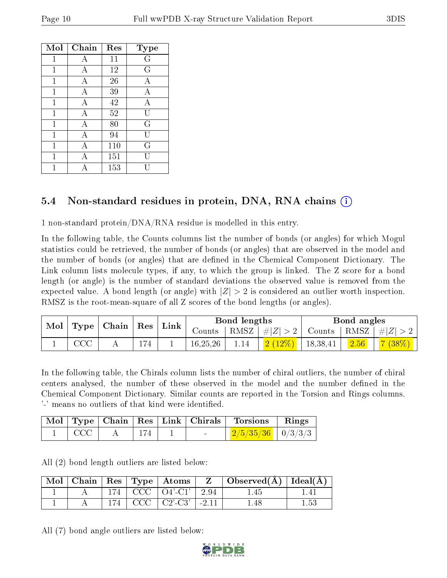| Mol            | Chain | Res | Type |
|----------------|-------|-----|------|
| 1              | А     | 11  | G    |
| 1              | А     | 12  | G    |
| $\mathbf{1}$   | Α     | 26  | Α    |
| $\overline{1}$ | Α     | 39  | А    |
| 1              | А     | 42  | Α    |
| 1              | А     | 52  | U    |
| 1              | А     | 80  | G    |
| $\mathbf{1}$   | А     | 94  | IJ   |
| 1              | А     | 110 | G    |
| 1              | А     | 151 |      |
|                |       | 153 |      |

### 5.4 Non-standard residues in protein, DNA, RNA chains  $(i)$

1 non-standard protein/DNA/RNA residue is modelled in this entry.

In the following table, the Counts columns list the number of bonds (or angles) for which Mogul statistics could be retrieved, the number of bonds (or angles) that are observed in the model and the number of bonds (or angles) that are defined in the Chemical Component Dictionary. The Link column lists molecule types, if any, to which the group is linked. The Z score for a bond length (or angle) is the number of standard deviations the observed value is removed from the expected value. A bond length (or angle) with  $|Z| > 2$  is considered an outlier worth inspection. RMSZ is the root-mean-square of all Z scores of the bond lengths (or angles).

| ` Mol |     | $\Gamma$ Type   Chain   Res   Link |      |  | Bond lengths |      |           | Bond angles |  |                                                                         |
|-------|-----|------------------------------------|------|--|--------------|------|-----------|-------------|--|-------------------------------------------------------------------------|
|       |     |                                    |      |  |              |      |           |             |  | Counts   RMSZ $\mid \#  Z  > 2$   Counts   RMSZ $\mid \#  Z  > 2$       |
|       | CCC |                                    | l 74 |  | 16, 25, 26   | 1.14 | $2(12\%)$ | 18,38,41    |  | $\begin{array}{ c c c c c }\hline 2.56 & & 7 (38\% )\hline \end{array}$ |

In the following table, the Chirals column lists the number of chiral outliers, the number of chiral centers analysed, the number of these observed in the model and the number defined in the Chemical Component Dictionary. Similar counts are reported in the Torsion and Rings columns. '-' means no outliers of that kind were identified.

|     |     |        | Mol   Type   Chain   Res   Link   Chirals   Torsions | $\mathbf{Rings}$ |
|-----|-----|--------|------------------------------------------------------|------------------|
| CCC | 174 | $\sim$ | $\frac{2}{5}/\frac{35}{36}$   0/3/3/3                |                  |

All (2) bond length outliers are listed below:

| $\text{Mol}$ |         | Chain   Res   Type   Atoms                          | $\mathbf{Z}$ | $\Box$ Observed( $\AA$ )   Ideal( $\AA$ ) |  |
|--------------|---------|-----------------------------------------------------|--------------|-------------------------------------------|--|
|              |         | $174$   CCC   O4'-C1'   2.94                        |              |                                           |  |
|              | $174 +$ | $CCC$   $C2$ <sup>'</sup> -C <sub>3</sub> '   -2.11 |              |                                           |  |

All (7) bond angle outliers are listed below:

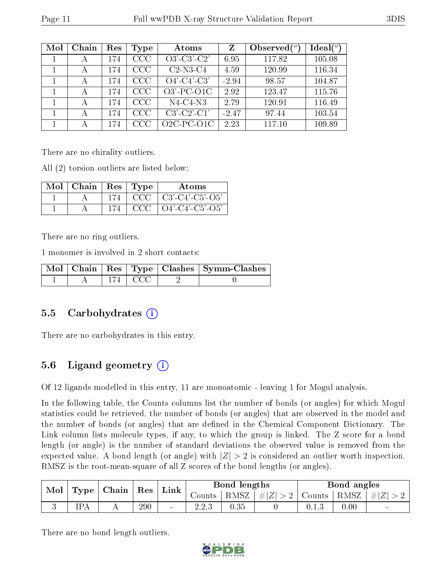| Mol | Chain | Res | <b>Type</b> | Atoms                 | Z       | Observed $\binom{o}{c}$ | $Ideal(^o)$ |
|-----|-------|-----|-------------|-----------------------|---------|-------------------------|-------------|
|     | А     | 174 | $\rm{CCC}$  | $O3'-C3'-C2'$         | 6.95    | 117.82                  | 105.08      |
|     | А     | 174 | CCC         | $C2-N3-C4$            | 4.59    | 120.99                  | 116.34      |
|     | А     | 174 | CCC         | $O4'$ - $C4'$ - $C3'$ | $-2.94$ | 98.57                   | 104.87      |
|     | А     | 174 | CCC         | $O3'$ -PC-O1C         | 2.92    | 123.47                  | 115.76      |
|     | А     | 174 | CCC         | $N4-C4-N3$            | 2.79    | 120.91                  | 116.49      |
|     | А     | 174 | CCC         | $C3'-C2'-C1'$         | $-2.47$ | 97.44                   | 103.54      |
|     | А     | 174 | $\rm{CCC}$  | $O2C-PC-O1C$          | 2.23    | 117.10                  | 109.89      |

There are no chirality outliers.

All (2) torsion outliers are listed below:

| $Mol$   Chain | $\parallel$ Res $\parallel$ Type | Atoms                 |
|---------------|----------------------------------|-----------------------|
|               | CCC.                             | $\pm$ C3'-C4'-C5'-O5' |
|               | CCC                              | $O4'$ -C4'-C5'-O5'    |

There are no ring outliers.

1 monomer is involved in 2 short contacts:

|  |             | Mol   Chain   Res   Type   Clashes   Symm-Clashes |
|--|-------------|---------------------------------------------------|
|  | $\perp$ CCC |                                                   |

#### 5.5 Carbohydrates  $(i)$

There are no carbohydrates in this entry.

### 5.6 Ligand geometry  $(i)$

Of 12 ligands modelled in this entry, 11 are monoatomic - leaving 1 for Mogul analysis.

In the following table, the Counts columns list the number of bonds (or angles) for which Mogul statistics could be retrieved, the number of bonds (or angles) that are observed in the model and the number of bonds (or angles) that are defined in the Chemical Component Dictionary. The Link column lists molecule types, if any, to which the group is linked. The Z score for a bond length (or angle) is the number of standard deviations the observed value is removed from the expected value. A bond length (or angle) with  $|Z| > 2$  is considered an outlier worth inspection. RMSZ is the root-mean-square of all Z scores of the bond lengths (or angles).

| Mol |     | $\mid$ Type $\mid$ Chain $\mid$ Res $\mid$ |     | $\mid$ Link $\mid$ | Bond lengths                          |          |                                                    | Bond angles |                 |                          |
|-----|-----|--------------------------------------------|-----|--------------------|---------------------------------------|----------|----------------------------------------------------|-------------|-----------------|--------------------------|
|     |     |                                            |     |                    | Counts -                              |          | $\vert$ RMSZ $\vert \# \vert Z \vert > 2$   Counts |             | $ RMSZ  \#  Z $ |                          |
|     | 'PA |                                            | 290 | $\sim$             | ററാ<br>$\angle$ , $\angle$ , $\angle$ | $0.35\,$ |                                                    | 0.1.3       | 0.00            | $\overline{\phantom{a}}$ |

There are no bond length outliers.

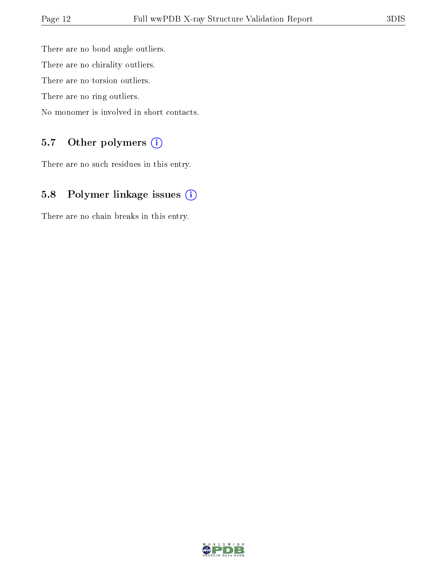There are no bond angle outliers. There are no chirality outliers. There are no torsion outliers. There are no ring outliers. No monomer is involved in short contacts.

### 5.7 [O](https://www.wwpdb.org/validation/2017/XrayValidationReportHelp#nonstandard_residues_and_ligands)ther polymers (i)

There are no such residues in this entry.

## 5.8 Polymer linkage issues (i)

There are no chain breaks in this entry.

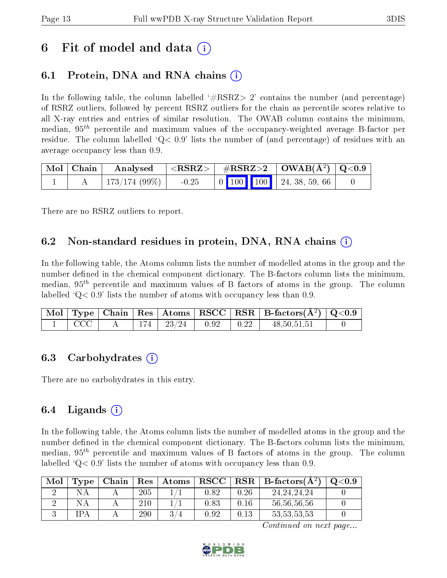## 6 Fit of model and data  $\left( \cdot \right)$

### 6.1 Protein, DNA and RNA chains (i)

In the following table, the column labelled  $#RSRZ> 2'$  contains the number (and percentage) of RSRZ outliers, followed by percent RSRZ outliers for the chain as percentile scores relative to all X-ray entries and entries of similar resolution. The OWAB column contains the minimum, median,  $95<sup>th</sup>$  percentile and maximum values of the occupancy-weighted average B-factor per residue. The column labelled  $Q < 0.9$  lists the number of (and percentage) of residues with an average occupancy less than 0.9.

| Mol   Chain | Analysed                | $\vert$ <rsrz> <math>\vert</math></rsrz> | $\#RSRZ>2$   OWAB( $A^2$ )   Q<0.9                                                                 |  |
|-------------|-------------------------|------------------------------------------|----------------------------------------------------------------------------------------------------|--|
|             | $'$ 173/174 (99%) $\pm$ | $-0.25$                                  | $\begin{array}{ c c c c c c c c c } \hline 0 & 100 & 100 & 24 & 38 & 59 & 66 \ \hline \end{array}$ |  |

There are no RSRZ outliers to report.

#### 6.2 Non-standard residues in protein, DNA, RNA chains  $(i)$

In the following table, the Atoms column lists the number of modelled atoms in the group and the number defined in the chemical component dictionary. The B-factors column lists the minimum, median,  $95<sup>th</sup>$  percentile and maximum values of B factors of atoms in the group. The column labelled  $Q< 0.9$  lists the number of atoms with occupancy less than 0.9.

|               |  |                                   |  | $\vert$ Mol $\vert$ Type $\vert$ Chain $\vert$ Res $\vert$ Atoms $\vert$ RSCC $\vert$ RSR $\vert$ B-factors(A <sup>2</sup> ) $\vert$ Q<0.9 |  |
|---------------|--|-----------------------------------|--|--------------------------------------------------------------------------------------------------------------------------------------------|--|
| $_{\rm{CCC}}$ |  | $174$   $23/24$   $0.92$   $0.22$ |  | 48,50,51,51                                                                                                                                |  |

#### 6.3 Carbohydrates (i)

There are no carbohydrates in this entry.

### $6.4$  Ligands  $(i)$

In the following table, the Atoms column lists the number of modelled atoms in the group and the number defined in the chemical component dictionary. The B-factors column lists the minimum, median,  $95<sup>th</sup>$  percentile and maximum values of B factors of atoms in the group. The column labelled  $Q< 0.9$  lists the number of atoms with occupancy less than 0.9.

| Mol | Type | Chain | Res | Atoms | ${\bf RSCC}$ | RSR  | $\perp$ B-factors(A <sup>2</sup> ) | $\mathrm{Q}{<}0.9$ |
|-----|------|-------|-----|-------|--------------|------|------------------------------------|--------------------|
|     | NA   |       | 205 |       | 0.82         | 0.26 | 24, 24, 24, 24                     |                    |
|     |      |       | 210 |       | $0.83\,$     | 0.16 | 56, 56, 56, 56                     |                    |
|     | ' PA |       | 290 | 3     | $\rm 0.92$   | 0.13 | 53, 53, 53, 53                     |                    |

Continued on next page...